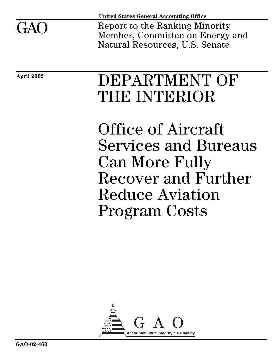

**United States General Accounting Office**

Report to the Ranking Minority Member, Committee on Energy and Natural Resources, U.S. Senate

# **April 2002** DEPARTMENT OF THE INTERIOR

Office of Aircraft Services and Bureaus Can More Fully Recover and Further Reduce Aviation Program Costs

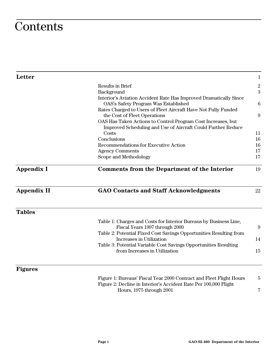# **Contents**

| <b>Letter</b>      |                                                                                                                                         | $\mathbf{1}$     |  |  |
|--------------------|-----------------------------------------------------------------------------------------------------------------------------------------|------------------|--|--|
|                    | <b>Results in Brief</b>                                                                                                                 | $\overline{2}$   |  |  |
|                    | Background                                                                                                                              | 3                |  |  |
|                    | Interior's Aviation Accident Rate Has Improved Dramatically Since<br>OAS's Safety Program Was Established                               |                  |  |  |
|                    | Rates Charged to Users of Fleet Aircraft Have Not Fully Funded                                                                          |                  |  |  |
|                    | the Cost of Fleet Operations                                                                                                            | $\boldsymbol{9}$ |  |  |
|                    | OAS Has Taken Actions to Control Program Cost Increases, but<br>Improved Scheduling and Use of Aircraft Could Further Reduce            |                  |  |  |
|                    | Costs                                                                                                                                   | 11               |  |  |
|                    | Conclusions                                                                                                                             | 16               |  |  |
|                    | <b>Recommendations for Executive Action</b>                                                                                             | 16               |  |  |
|                    | <b>Agency Comments</b>                                                                                                                  | 17               |  |  |
|                    | Scope and Methodology                                                                                                                   | 17               |  |  |
| <b>Appendix I</b>  | <b>Comments from the Department of the Interior</b>                                                                                     | 19               |  |  |
| <b>Appendix II</b> | <b>GAO Contacts and Staff Acknowledgments</b>                                                                                           | 22               |  |  |
| <b>Tables</b>      |                                                                                                                                         |                  |  |  |
|                    | Table 1: Charges and Costs for Interior Bureaus by Business Line,<br>Fiscal Years 1997 through 2000                                     | 9                |  |  |
|                    | Table 2: Potential Fixed Cost Savings Opportunities Resulting from<br>Increases in Utilization                                          | 14               |  |  |
|                    | Table 3: Potential Variable Cost Savings Opportunities Resulting                                                                        |                  |  |  |
|                    | from Increases in Utilization                                                                                                           | 15               |  |  |
| <b>Figures</b>     |                                                                                                                                         |                  |  |  |
|                    | Figure 1: Bureaus' Fiscal Year 2000 Contract and Fleet Flight Hours<br>Figure 2: Decline in Interior's Accident Rate Per 100,000 Flight | 5                |  |  |
|                    | Hours, 1975 through 2001                                                                                                                | 7                |  |  |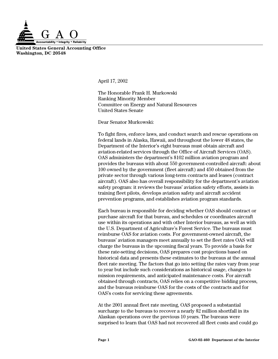

**United States General Accounting Office Washington, DC 20548**

April 17, 2002

The Honorable Frank H. Murkowski Ranking Minority Member Committee on Energy and Natural Resources United States Senate

Dear Senator Murkowski:

To fight fires, enforce laws, and conduct search and rescue operations on federal lands in Alaska, Hawaii, and throughout the lower 48 states, the Department of the Interior's eight bureaus must obtain aircraft and aviation-related services through the Office of Aircraft Services (OAS). OAS administers the department's \$102 million aviation program and provides the bureaus with about 550 government-controlled aircraft: about 100 owned by the government (fleet aircraft) and 450 obtained from the private sector through various long-term contracts and leases (contract aircraft). OAS also has overall responsibility for the department's aviation safety program: it reviews the bureaus' aviation safety efforts, assists in training fleet pilots, develops aviation safety and aircraft accident prevention programs, and establishes aviation program standards.

Each bureau is responsible for deciding whether OAS should contract or purchase aircraft for that bureau, and schedules or coordinates aircraft use within its operations and with other Interior bureaus, as well as with the U.S. Department of Agriculture's Forest Service. The bureaus must reimburse OAS for aviation costs. For government-owned aircraft, the bureaus' aviation managers meet annually to set the fleet rates OAS will charge the bureaus in the upcoming fiscal years. To provide a basis for these rate-setting decisions, OAS prepares cost projections based on historical data and presents these estimates to the bureaus at the annual fleet rate meeting. The factors that go into setting the rates vary from year to year but include such considerations as historical usage, changes to mission requirements, and anticipated maintenance costs. For aircraft obtained through contracts, OAS relies on a competitive bidding process, and the bureaus reimburse OAS for the costs of the contracts and for OAS's costs for servicing these agreements.

At the 2001 annual fleet rate meeting, OAS proposed a substantial surcharge to the bureaus to recover a nearly \$2 million shortfall in its Alaskan operations over the previous 10 years. The bureaus were surprised to learn that OAS had not recovered all fleet costs and could go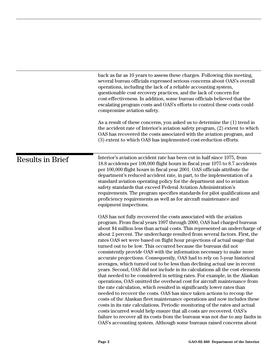|                         | back as far as 10 years to assess these charges. Following this meeting,<br>several bureau officials expressed serious concerns about OAS's overall<br>operations, including the lack of a reliable accounting system,<br>questionable cost recovery practices, and the lack of concern for<br>cost-effectiveness. In addition, some bureau officials believed that the<br>escalating program costs and OAS's efforts to control these costs could<br>compromise aviation safety.<br>As a result of these concerns, you asked us to determine the (1) trend in                                                                                                                                                                                                                                                                                                                                                                                                                                                                                                                                                                                                                                                                                                                                                                                                                                                                                                                      |
|-------------------------|-------------------------------------------------------------------------------------------------------------------------------------------------------------------------------------------------------------------------------------------------------------------------------------------------------------------------------------------------------------------------------------------------------------------------------------------------------------------------------------------------------------------------------------------------------------------------------------------------------------------------------------------------------------------------------------------------------------------------------------------------------------------------------------------------------------------------------------------------------------------------------------------------------------------------------------------------------------------------------------------------------------------------------------------------------------------------------------------------------------------------------------------------------------------------------------------------------------------------------------------------------------------------------------------------------------------------------------------------------------------------------------------------------------------------------------------------------------------------------------|
|                         | the accident rate of Interior's aviation safety program, (2) extent to which<br>OAS has recovered the costs associated with the aviation program, and<br>(3) extent to which OAS has implemented cost-reduction efforts.                                                                                                                                                                                                                                                                                                                                                                                                                                                                                                                                                                                                                                                                                                                                                                                                                                                                                                                                                                                                                                                                                                                                                                                                                                                            |
| <b>Results in Brief</b> | Interior's aviation accident rate has been cut in half since 1975, from<br>18.8 accidents per 100,000 flight hours in fiscal year 1975 to 8.7 accidents<br>per 100,000 flight hours in fiscal year 2001. OAS officials attribute the<br>department's reduced accident rate, in part, to the implementation of a<br>standard aviation operating policy for the department and to aviation<br>safety standards that exceed Federal Aviation Administration's<br>requirements. The program specifies standards for pilot qualifications and<br>proficiency requirements as well as for aircraft maintenance and<br>equipment inspections.                                                                                                                                                                                                                                                                                                                                                                                                                                                                                                                                                                                                                                                                                                                                                                                                                                              |
|                         | OAS has not fully recovered the costs associated with the aviation<br>program. From fiscal years 1997 through 2000, OAS had charged bureaus<br>about \$4 million less than actual costs. This represented an undercharge of<br>about 2 percent. The undercharge resulted from several factors. First, the<br>rates OAS set were based on flight hour projections of actual usage that<br>turned out to be low. This occurred because the bureaus did not<br>consistently provide OAS with the information necessary to make more<br>accurate projections. Consequently, OAS had to rely on 5-year historical<br>averages, which turned out to be less than declining actual use in recent<br>years. Second, OAS did not include in its calculations all the cost elements<br>that needed to be considered in setting rates. For example, in the Alaskan<br>operations, OAS omitted the overhead cost for aircraft maintenance from<br>the rate calculation, which resulted in significantly lower rates than<br>needed to recover the costs. OAS has since taken actions to recoup the<br>costs of the Alaskan fleet maintenance operations and now includes these<br>costs in its rate calculations. Periodic monitoring of the rates and actual<br>costs incurred would help ensure that all costs are recovered. OAS's<br>failure to recover all its costs from the bureaus was not due to any faults in<br>OAS's accounting system. Although some bureaus raised concerns about |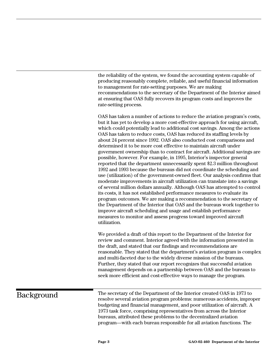the reliability of the system, we found the accounting system capable of producing reasonably complete, reliable, and useful financial information to management for rate-setting purposes. We are making recommendations to the secretary of the Department of the Interior aimed at ensuring that OAS fully recovers its program costs and improves the rate-setting process.

OAS has taken a number of actions to reduce the aviation program's costs, but it has yet to develop a more cost-effective approach for using aircraft, which could potentially lead to additional cost savings. Among the actions OAS has taken to reduce costs, OAS has reduced its staffing levels by about 24 percent since 1992. OAS also conducted cost comparisons and determined it to be more cost effective to maintain aircraft under government ownership than to contract for aircraft. Additional savings are possible, however. For example, in 1995, Interior's inspector general reported that the department unnecessarily spent \$2.3 million throughout 1992 and 1993 because the bureaus did not coordinate the scheduling and use (utilization) of the government-owned fleet. Our analysis confirms that moderate improvements in aircraft utilization can translate into a savings of several million dollars annually. Although OAS has attempted to control its costs, it has not established performance measures to evaluate its program outcomes. We are making a recommendation to the secretary of the Department of the Interior that OAS and the bureaus work together to improve aircraft scheduling and usage and establish performance measures to monitor and assess progress toward improved aircraft utilization.

We provided a draft of this report to the Department of the Interior for review and comment. Interior agreed with the information presented in the draft, and stated that our findings and recommendations are reasonable. They stated that the department's aviation program is complex and multi-faceted due to the widely diverse mission of the bureaus. Further, they stated that our report recognizes that successful aviation management depends on a partnership between OAS and the bureaus to seek more efficient and cost-effective ways to manage the program.

### Background

The secretary of the Department of the Interior created OAS in 1973 to resolve several aviation program problems: numerous accidents, improper budgeting and financial management, and poor utilization of aircraft. A 1973 task force, comprising representatives from across the Interior bureaus, attributed these problems to the decentralized aviation program—with each bureau responsible for all aviation functions. The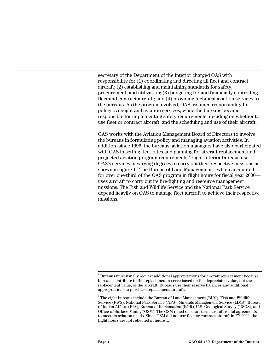secretary of the Department of the Interior charged OAS with responsibility for (1) coordinating and directing all fleet and contract aircraft; (2) establishing and maintaining standards for safety, procurement, and utilization; (3) budgeting for and financially controlling fleet and contract aircraft; and (4) providing technical aviation services to the bureaus. As the program evolved, OAS assumed responsibility for policy oversight and aviation services, while the bureaus became responsible for implementing safety requirements, deciding on whether to use fleet or contract aircraft, and the scheduling and use of their aircraft.

OAS works with the Aviation Management Board of Directors to involve the bureaus in formulating policy and managing aviation activities. In addition, since 1996, the bureaus' aviation managers have also participated with OAS in setting fleet rates and planning for aircraft replacement and projected aviation program requirements.<sup>1</sup> Eight Interior bureaus use OAS's services in varying degrees to carry out their respective missions as shown in figure 1.<sup>2</sup> The Bureau of Land Management—which accounted for over one-third of the OAS program in flight hours for fiscal year 2000 uses aircraft to carry out its fire-fighting and resource management missions. The Fish and Wildlife Service and the National Park Service depend heavily on OAS to manage fleet aircraft to achieve their respective missions.

 $\frac{1}{1}$  $1$  Bureaus must usually request additional appropriations for aircraft replacement because bureaus contribute to the replacement reserve based on the depreciated value, not the replacement value, of the aircraft. Bureaus use their reserve balances and additional appropriations to purchase replacement aircraft.

 $^{\rm 2}$  The eight bureaus include the Bureau of Land Management (BLM), Fish and Wildlife Service (FWS), National Park Service (NPS), Minerals Management Service (MMS), Bureau of Indian Affairs (BIA), Bureau of Reclamation (BOR), U.S. Geological Survey (USGS), and Office of Surface Mining (OSM). The OSM relied on short-term aircraft rental agreements to meet its aviation needs. Since OSM did not use fleet or contract aircraft in FY 2000, the flight hours are not reflected in figure 1.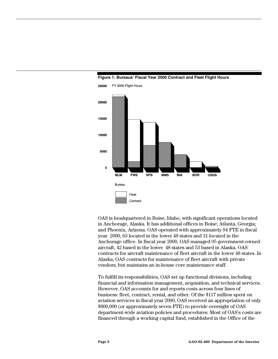

#### **Figure 1: Bureaus' Fiscal Year 2000 Contract and Fleet Flight Hours**

OAS is headquartered in Boise, Idaho, with significant operations located in Anchorage, Alaska. It has additional offices in Boise; Atlanta, Georgia; and Phoenix, Arizona. OAS operated with approximately 94 FTE in fiscal year 2000, 63 located in the lower 48 states and 31 located in the Anchorage office. In fiscal year 2000, OAS managed 95 government-owned aircraft, 42 based in the lower 48 states and 53 based in Alaska. OAS contracts for aircraft maintenance of fleet aircraft in the lower 48 states. In Alaska, OAS contracts for maintenance of fleet aircraft with private vendors, but maintains an in-house core maintenance staff.

To fulfill its responsibilities, OAS set up functional divisions, including financial and information management, acquisition, and technical services. However, OAS accounts for and reports costs across four lines of business: fleet, contract, rental, and other. Of the \$117 million spent on aviation services in fiscal year 2000, OAS received an appropriation of only \$800,000 (or approximately seven FTE) to provide oversight of OAS department-wide aviation policies and procedures. Most of OAS's costs are financed through a working capital fund, established in the Office of the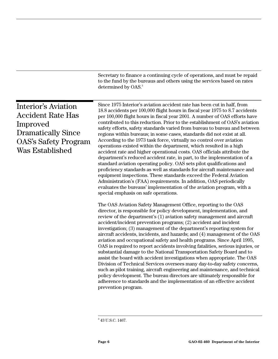|                                                                                                                                                   | Secretary to finance a continuing cycle of operations, and must be repaid<br>to the fund by the bureaus and others using the services based on rates<br>determined by OAS. <sup>3</sup>                                                                                                                                                                                                                                                                                                                                                                                                                                                                                                                                                                                                                                                                                                                                                                                                                                                                                                                                                                                                          |
|---------------------------------------------------------------------------------------------------------------------------------------------------|--------------------------------------------------------------------------------------------------------------------------------------------------------------------------------------------------------------------------------------------------------------------------------------------------------------------------------------------------------------------------------------------------------------------------------------------------------------------------------------------------------------------------------------------------------------------------------------------------------------------------------------------------------------------------------------------------------------------------------------------------------------------------------------------------------------------------------------------------------------------------------------------------------------------------------------------------------------------------------------------------------------------------------------------------------------------------------------------------------------------------------------------------------------------------------------------------|
| <b>Interior's Aviation</b><br><b>Accident Rate Has</b><br>Improved<br><b>Dramatically Since</b><br><b>OAS's Safety Program</b><br>Was Established | Since 1975 Interior's aviation accident rate has been cut in half, from<br>18.8 accidents per 100,000 flight hours in fiscal year 1975 to 8.7 accidents<br>per 100,000 flight hours in fiscal year 2001. A number of OAS efforts have<br>contributed to this reduction. Prior to the establishment of OAS's aviation<br>safety efforts, safety standards varied from bureau to bureau and between<br>regions within bureaus; in some cases, standards did not exist at all.<br>According to the 1973 task force, virtually no control over aviation<br>operations existed within the department, which resulted in a high<br>accident rate and higher operational costs. OAS officials attribute the<br>department's reduced accident rate, in part, to the implementation of a<br>standard aviation operating policy. OAS sets pilot qualifications and<br>proficiency standards as well as standards for aircraft maintenance and<br>equipment inspections. These standards exceed the Federal Aviation<br>Administration's (FAA) requirements. In addition, OAS periodically<br>evaluates the bureaus' implementation of the aviation program, with a<br>special emphasis on safe operations. |
|                                                                                                                                                   | The OAS Aviation Safety Management Office, reporting to the OAS<br>director, is responsible for policy development, implementation, and<br>review of the department's (1) aviation safety management and aircraft<br>accident/incident prevention programs; (2) accident and incident<br>investigation; (3) management of the department's reporting system for<br>aircraft accidents, incidents, and hazards; and (4) management of the OAS<br>aviation and occupational safety and health programs. Since April 1995,<br>OAS is required to report accidents involving fatalities, serious injuries, or<br>substantial damage to the National Transportation Safety Board and to<br>assist the board with accident investigations when appropriate. The OAS<br>Division of Technical Services oversees many day-to-day safety concerns,<br>such as pilot training, aircraft engineering and maintenance, and technical<br>policy development. The bureau directors are ultimately responsible for<br>adherence to standards and the implementation of an effective accident<br>prevention program.                                                                                             |

<sup>-&</sup>lt;br>3  $^{\rm 3}$  43 U.S.C. 1467.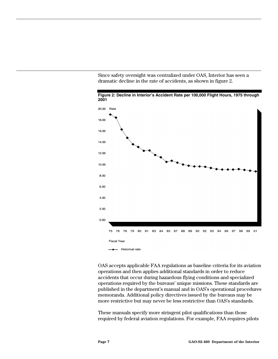Since safety oversight was centralized under OAS, Interior has seen a dramatic decline in the rate of accidents, as shown in figure 2.



**Figure 2: Decline in Interior's Accident Rate per 100,000 Flight Hours, 1975 through 2001**

OAS accepts applicable FAA regulations as baseline criteria for its aviation operations and then applies additional standards in order to reduce accidents that occur during hazardous flying conditions and specialized operations required by the bureaus' unique missions. These standards are published in the department's manual and in OAS's operational procedures memoranda. Additional policy directives issued by the bureaus may be more restrictive but may never be less restrictive than OAS's standards.

These manuals specify more stringent pilot qualifications than those required by federal aviation regulations. For example, FAA requires pilots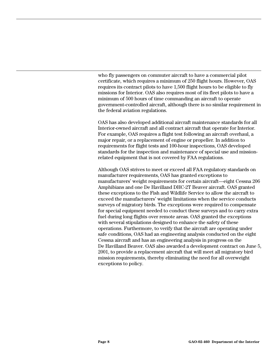who fly passengers on commuter aircraft to have a commercial pilot certificate, which requires a minimum of 250 flight hours. However, OAS requires its contract pilots to have 1,500 flight hours to be eligible to fly missions for Interior. OAS also requires most of its fleet pilots to have a minimum of 500 hours of time commanding an aircraft to operate government-controlled aircraft, although there is no similar requirement in the federal aviation regulations.

OAS has also developed additional aircraft maintenance standards for all Interior-owned aircraft and all contract aircraft that operate for Interior. For example, OAS requires a flight test following an aircraft overhaul, a major repair, or a replacement of engine or propeller. In addition to requirements for flight tests and 100-hour inspections, OAS developed standards for the inspection and maintenance of special use and missionrelated equipment that is not covered by FAA regulations.

Although OAS strives to meet or exceed all FAA regulatory standards on manufacturer requirements, OAS has granted exceptions to manufacturers' weight requirements for certain aircraft—eight Cessna 206 Amphibians and one De Havilland DHC-2T Beaver aircraft. OAS granted these exceptions to the Fish and Wildlife Service to allow the aircraft to exceed the manufacturers' weight limitations when the service conducts surveys of migratory birds. The exceptions were required to compensate for special equipment needed to conduct these surveys and to carry extra fuel during long flights over remote areas. OAS granted the exceptions with several stipulations designed to enhance the safety of these operations. Furthermore, to verify that the aircraft are operating under safe conditions, OAS had an engineering analysis conducted on the eight Cessna aircraft and has an engineering analysis in progress on the De Havilland Beaver. OAS also awarded a development contract on June 5, 2001, to provide a replacement aircraft that will meet all migratory bird mission requirements, thereby eliminating the need for all overweight exceptions to policy.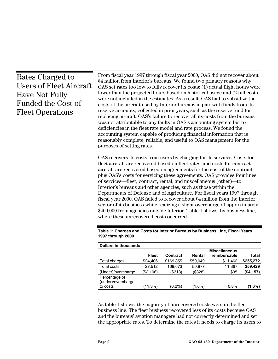| From fiscal year 1997 through fiscal year 2000, OAS did not recover about<br>Rates Charged to<br>\$4 million from Interior's bureaus. We found two primary reasons why<br><b>Users of Fleet Aircraft</b><br>OAS set rates too low to fully recover its costs: (1) actual flight hours were<br>lower than the projected hours based on historical usage and (2) all costs<br><b>Have Not Fully</b><br>were not included in the estimates. As a result, OAS had to subsidize the<br><b>Funded the Cost of</b><br>costs of the aircraft used by Interior bureaus in part with funds from its<br>reserve accounts, collected in prior years, such as the reserve fund for<br><b>Fleet Operations</b><br>replacing aircraft. OAS's failure to recover all its costs from the bureaus<br>was not attributable to any faults in OAS's accounting system but to<br>deficiencies in the fleet rate model and rate process. We found the<br>accounting system capable of producing financial information that is<br>reasonably complete, reliable, and useful to OAS management for the<br>purposes of setting rates.<br>OAS recovers its costs from users by charging for its services. Costs for<br>fleet aircraft are recovered based on fleet rates, and costs for contract<br>aircraft are recovered based on agreements for the cost of the contract<br>plus OAS's costs for servicing these agreements. OAS provides four lines<br>of services—fleet, contract, rental, and miscellaneous (other)—to<br>Interior's bureaus and other agencies, such as those within the<br>Departments of Defense and of Agriculture. For fiscal years 1997 through<br>fiscal year 2000, OAS failed to recover about \$4 million from the Interior<br>sector of its business while realizing a slight overcharge of approximately<br>\$400,000 from agencies outside Interior. Table 1 shows, by business line,<br>where these unrecovered costs occurred.<br>Table 1: Charges and Costs for Interior Bureaus by Business Line, Fiscal Years<br>1997 through 2000<br><b>Dollars in thousands</b><br><b>Miscellaneous</b><br><b>Fleet</b><br><b>Contract</b><br>Rental<br>reimbursable<br>Total charges<br>\$24,406<br>\$169,355<br>\$50,049<br>\$11,462<br>27,512<br>169,673<br>50,877<br>Total costs<br>11,367<br>(\$318)<br>(\$828)<br>\$95<br>(Under)/overcharge<br>(\$3,106)<br>Percentage of |  |  |  |  |  |           |
|--------------------------------------------------------------------------------------------------------------------------------------------------------------------------------------------------------------------------------------------------------------------------------------------------------------------------------------------------------------------------------------------------------------------------------------------------------------------------------------------------------------------------------------------------------------------------------------------------------------------------------------------------------------------------------------------------------------------------------------------------------------------------------------------------------------------------------------------------------------------------------------------------------------------------------------------------------------------------------------------------------------------------------------------------------------------------------------------------------------------------------------------------------------------------------------------------------------------------------------------------------------------------------------------------------------------------------------------------------------------------------------------------------------------------------------------------------------------------------------------------------------------------------------------------------------------------------------------------------------------------------------------------------------------------------------------------------------------------------------------------------------------------------------------------------------------------------------------------------------------------------------------------------------------------------------------------------------------------------------------------------------------------------------------------------------------------------------------------------------------------------------------------------------------------------------------------------------------------------------------------------------------------------------------------------------------------------------------------------------------------------|--|--|--|--|--|-----------|
|                                                                                                                                                                                                                                                                                                                                                                                                                                                                                                                                                                                                                                                                                                                                                                                                                                                                                                                                                                                                                                                                                                                                                                                                                                                                                                                                                                                                                                                                                                                                                                                                                                                                                                                                                                                                                                                                                                                                                                                                                                                                                                                                                                                                                                                                                                                                                                                |  |  |  |  |  |           |
|                                                                                                                                                                                                                                                                                                                                                                                                                                                                                                                                                                                                                                                                                                                                                                                                                                                                                                                                                                                                                                                                                                                                                                                                                                                                                                                                                                                                                                                                                                                                                                                                                                                                                                                                                                                                                                                                                                                                                                                                                                                                                                                                                                                                                                                                                                                                                                                |  |  |  |  |  |           |
|                                                                                                                                                                                                                                                                                                                                                                                                                                                                                                                                                                                                                                                                                                                                                                                                                                                                                                                                                                                                                                                                                                                                                                                                                                                                                                                                                                                                                                                                                                                                                                                                                                                                                                                                                                                                                                                                                                                                                                                                                                                                                                                                                                                                                                                                                                                                                                                |  |  |  |  |  | Total     |
|                                                                                                                                                                                                                                                                                                                                                                                                                                                                                                                                                                                                                                                                                                                                                                                                                                                                                                                                                                                                                                                                                                                                                                                                                                                                                                                                                                                                                                                                                                                                                                                                                                                                                                                                                                                                                                                                                                                                                                                                                                                                                                                                                                                                                                                                                                                                                                                |  |  |  |  |  | \$255,272 |
|                                                                                                                                                                                                                                                                                                                                                                                                                                                                                                                                                                                                                                                                                                                                                                                                                                                                                                                                                                                                                                                                                                                                                                                                                                                                                                                                                                                                                                                                                                                                                                                                                                                                                                                                                                                                                                                                                                                                                                                                                                                                                                                                                                                                                                                                                                                                                                                |  |  |  |  |  | 259,429   |
|                                                                                                                                                                                                                                                                                                                                                                                                                                                                                                                                                                                                                                                                                                                                                                                                                                                                                                                                                                                                                                                                                                                                                                                                                                                                                                                                                                                                                                                                                                                                                                                                                                                                                                                                                                                                                                                                                                                                                                                                                                                                                                                                                                                                                                                                                                                                                                                |  |  |  |  |  | (\$4,157) |

As table 1 shows, the majority of unrecovered costs were in the fleet business line. The fleet business recovered less of its costs because OAS and the bureaus' aviation managers had not correctly determined and set the appropriate rates. To determine the rates it needs to charge its users to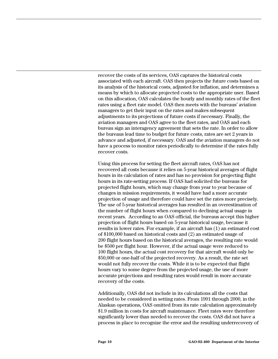recover the costs of its services, OAS captures the historical costs associated with each aircraft. OAS then projects the future costs based on its analysis of the historical costs, adjusted for inflation, and determines a means by which to allocate projected costs to the appropriate user. Based on this allocation, OAS calculates the hourly and monthly rates of the fleet rates using a fleet rate model. OAS then meets with the bureaus' aviation managers to get their input on the rates and makes subsequent adjustments to its projections of future costs if necessary. Finally, the aviation managers and OAS agree to the fleet rates, and OAS and each bureau sign an interagency agreement that sets the rate. In order to allow the bureaus lead time to budget for future costs, rates are set 2 years in advance and adjusted, if necessary. OAS and the aviation managers do not have a process to monitor rates periodically to determine if the rates fully recover costs.

Using this process for setting the fleet aircraft rates, OAS has not recovered all costs because it relies on 5-year historical averages of flight hours in its calculation of rates and has no provision for projecting flight hours in its rate-setting process. If OAS had solicited the bureaus for projected flight hours, which may change from year to year because of changes in mission requirements, it would have had a more accurate projection of usage and therefore could have set the rates more precisely. The use of 5-year historical averages has resulted in an overestimation of the number of flight hours when compared to declining actual usage in recent years. According to an OAS official, the bureaus accept this higher projection of flight hours based on 5-year historical usage, because it results in lower rates. For example, if an aircraft has (1) an estimated cost of \$100,000 based on historical costs and (2) an estimated usage of 200 flight hours based on the historical averages, the resulting rate would be \$500 per flight hour. However, if the actual usage were reduced to 100 flight hours, the actual cost recovery for that aircraft would only be \$50,000 or one-half of the projected recovery. As a result, the rate set would not fully recover the costs. While it is to be expected that flight hours vary to some degree from the projected usage, the use of more accurate projections and resulting rates would result in more accurate recovery of the costs.

Additionally, OAS did not include in its calculations all the costs that needed to be considered in setting rates. From 1991 through 2000, in the Alaskan operations, OAS omitted from its rate calculation approximately \$1.9 million in costs for aircraft maintenance. Fleet rates were therefore significantly lower than needed to recover the costs. OAS did not have a process in place to recognize the error and the resulting underrecovery of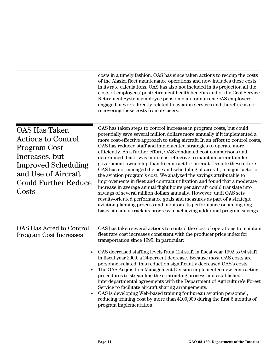|                                                                                                                                                                                  | costs in a timely fashion. OAS has since taken actions to recoup the costs<br>of the Alaska fleet maintenance operations and now includes these costs<br>in its rate calculations. OAS has also not included in its projection all the<br>costs of employees' postretirement health benefits and of the Civil Service<br>Retirement System employee pension plan for current OAS employees<br>engaged in work directly related to aviation services and therefore is not<br>recovering these costs from its users.                                                                                                                                                                                                                                                                                                                                                                                                                                                                                                                                                                                                                                              |
|----------------------------------------------------------------------------------------------------------------------------------------------------------------------------------|-----------------------------------------------------------------------------------------------------------------------------------------------------------------------------------------------------------------------------------------------------------------------------------------------------------------------------------------------------------------------------------------------------------------------------------------------------------------------------------------------------------------------------------------------------------------------------------------------------------------------------------------------------------------------------------------------------------------------------------------------------------------------------------------------------------------------------------------------------------------------------------------------------------------------------------------------------------------------------------------------------------------------------------------------------------------------------------------------------------------------------------------------------------------|
| <b>OAS Has Taken</b><br><b>Actions to Control</b><br>Program Cost<br>Increases, but<br><b>Improved Scheduling</b><br>and Use of Aircraft<br><b>Could Further Reduce</b><br>Costs | OAS has taken steps to control increases in program costs, but could<br>potentially save several million dollars more annually if it implemented a<br>more cost-effective approach to using aircraft. In an effort to control costs,<br>OAS has reduced staff and implemented strategies to operate more<br>efficiently. As a further effort, OAS conducted cost comparisons and<br>determined that it was more cost effective to maintain aircraft under<br>government ownership than to contract for aircraft. Despite these efforts,<br>OAS has not managed the use and scheduling of aircraft, a major factor of<br>the aviation program's cost. We analyzed the savings attributable to<br>improvements in fleet and contract utilization and found that a moderate<br>increase in average annual flight hours per aircraft could translate into<br>savings of several million dollars annually. However, until OAS sets<br>results-oriented performance goals and measures as part of a strategic<br>aviation planning process and monitors its performance on an ongoing<br>basis, it cannot track its progress in achieving additional program savings. |
| OAS Has Acted to Control<br><b>Program Cost Increases</b><br>$\bullet$                                                                                                           | OAS has taken several actions to control the cost of operations to maintain<br>fleet rate cost increases consistent with the producer price index for<br>transportation since 1995. In particular:<br>OAS decreased staffing levels from 124 staff in fiscal year 1992 to 94 staff<br>in fiscal year 2000, a 24-percent decrease. Because most OAS costs are<br>personnel-related, this reduction significantly decreased OAS's costs.<br>The OAS Acquisition Management Division implemented new contracting<br>procedures to streamline the contracting process and established<br>interdepartmental agreements with the Department of Agriculture's Forest<br>Service to facilitate aircraft sharing arrangements.<br>OAS is developing Web-based training for bureau aviation personnel,<br>reducing training cost by more than \$100,000 during the first 6 months of<br>program implementation.                                                                                                                                                                                                                                                           |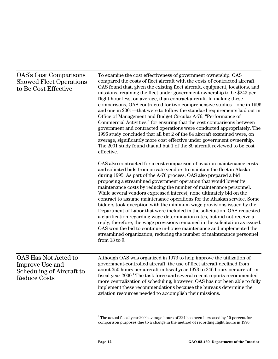| <b>OAS's Cost Comparisons</b><br><b>Showed Fleet Operations</b><br>to Be Cost Effective            | To examine the cost effectiveness of government ownership, OAS<br>compared the costs of fleet aircraft with the costs of contracted aircraft.<br>OAS found that, given the existing fleet aircraft, equipment, locations, and<br>missions, retaining the fleet under government ownership to be \$243 per<br>flight hour less, on average, than contract aircraft. In making these<br>comparisons, OAS contracted for two comprehensive studies—one in 1996<br>and one in 2001—that were to follow the standard requirements laid out in<br>Office of Management and Budget Circular A-76, "Performance of<br>Commercial Activities," for ensuring that the cost comparisons between<br>government and contracted operations were conducted appropriately. The<br>1996 study concluded that all but 2 of the 84 aircraft examined were, on<br>average, significantly more cost effective under government ownership.<br>The 2001 study found that all but 1 of the 89 aircraft reviewed to be cost<br>effective.  |  |  |
|----------------------------------------------------------------------------------------------------|-------------------------------------------------------------------------------------------------------------------------------------------------------------------------------------------------------------------------------------------------------------------------------------------------------------------------------------------------------------------------------------------------------------------------------------------------------------------------------------------------------------------------------------------------------------------------------------------------------------------------------------------------------------------------------------------------------------------------------------------------------------------------------------------------------------------------------------------------------------------------------------------------------------------------------------------------------------------------------------------------------------------|--|--|
|                                                                                                    | OAS also contracted for a cost comparison of aviation maintenance costs<br>and solicited bids from private vendors to maintain the fleet in Alaska<br>during 1995. As part of the A-76 process, OAS also prepared a bid<br>proposing a streamlined government operation that would lower its<br>maintenance costs by reducing the number of maintenance personnel.<br>While several vendors expressed interest, none ultimately bid on the<br>contract to assume maintenance operations for the Alaskan service. Some<br>bidders took exception with the minimum wage provisions issued by the<br>Department of Labor that were included in the solicitation. OAS requested<br>a clarification regarding wage determination rates, but did not receive a<br>reply; therefore, the wage provisions remained in the solicitation as issued.<br>OAS won the bid to continue in-house maintenance and implemented the<br>streamlined organization, reducing the number of maintenance personnel<br>from $13$ to $9$ . |  |  |
| OAS Has Not Acted to<br>Improve Use and<br><b>Scheduling of Aircraft to</b><br><b>Reduce Costs</b> | Although OAS was organized in 1973 to help improve the utilization of<br>government-controlled aircraft, the use of fleet aircraft declined from<br>about 350 hours per aircraft in fiscal year 1973 to 246 hours per aircraft in<br>fiscal year 2000. <sup>4</sup> The task force and several recent reports recommended<br>more centralization of scheduling; however, OAS has not been able to fully<br>implement these recommendations because the bureaus determine the<br>aviation resources needed to accomplish their missions.                                                                                                                                                                                                                                                                                                                                                                                                                                                                           |  |  |

 $\frac{1}{4}$  The actual fiscal year 2000 average hours of 224 has been increased by 10 percent for comparison purposes due to a change in the method of recording flight hours in 1996.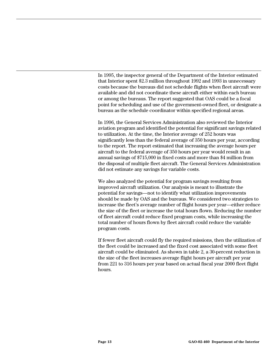In 1995, the inspector general of the Department of the Interior estimated that Interior spent \$2.3 million throughout 1992 and 1993 in unnecessary costs because the bureaus did not schedule flights when fleet aircraft were available and did not coordinate these aircraft either within each bureau or among the bureaus. The report suggested that OAS could be a focal point for scheduling and use of the government-owned fleet, or designate a bureau as the schedule coordinator within specified regional areas.

In 1996, the General Services Administration also reviewed the Interior aviation program and identified the potential for significant savings related to utilization. At the time, the Interior average of 252 hours was significantly less than the federal average of 350 hours per year, according to the report. The report estimated that increasing the average hours per aircraft to the federal average of 350 hours per year would result in an annual savings of \$715,000 in fixed costs and more than \$4 million from the disposal of multiple fleet aircraft. The General Services Administration did not estimate any savings for variable costs.

We also analyzed the potential for program savings resulting from improved aircraft utilization. Our analysis is meant to illustrate the potential for savings—not to identify what utilization improvements should be made by OAS and the bureaus. We considered two strategies to increase the fleet's average number of flight hours per year—either reduce the size of the fleet or increase the total hours flown. Reducing the number of fleet aircraft could reduce fixed program costs, while increasing the total number of hours flown by fleet aircraft could reduce the variable program costs.

If fewer fleet aircraft could fly the required missions, then the utilization of the fleet could be increased and the fixed cost associated with some fleet aircraft could be eliminated. As shown in table 2, a 30-percent reduction in the size of the fleet increases average flight hours per aircraft per year from 221 to 316 hours per year based on actual fiscal year 2000 fleet flight hours.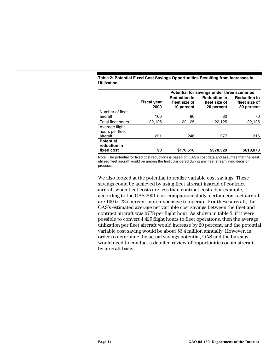|                                               | Potential for savings under three scenarios |                                                    |                                                    |                                                    |
|-----------------------------------------------|---------------------------------------------|----------------------------------------------------|----------------------------------------------------|----------------------------------------------------|
|                                               | <b>Fiscal year</b><br>2000                  | <b>Reduction in</b><br>fleet size of<br>10 percent | <b>Reduction in</b><br>fleet size of<br>20 percent | <b>Reduction in</b><br>fleet size of<br>30 percent |
| Number of fleet<br>aircraft                   | 100                                         | 90                                                 | 80                                                 | 70                                                 |
| Total fleet hours                             | 22,125                                      | 22,125                                             | 22,125                                             | 22,125                                             |
| Average flight<br>hours per fleet<br>aircraft | 221                                         | 246                                                | 277                                                | 316                                                |
| <b>Potential</b><br>reduction in              |                                             |                                                    |                                                    |                                                    |
| fixed cost                                    | \$0                                         | \$170,510                                          | \$370,529                                          | \$610,070                                          |

#### **Table 2: Potential Fixed Cost Savings Opportunities Resulting from Increases in Utilization**

Note: The potential for fixed cost reductions is based on OAS's cost data and assumes that the least utilized fleet aircraft would be among the first considered during any fleet streamlining decision process.

We also looked at the potential to realize variable cost savings. These savings could be achieved by using fleet aircraft instead of contract aircraft when fleet costs are less than contract costs. For example, according to the OAS 2001 cost comparison study, certain contract aircraft are 100 to 235 percent more expensive to operate. For these aircraft, the OAS's estimated average net variable cost savings between the fleet and contract aircraft was \$778 per flight hour. As shown in table 3, if it were possible to convert 4,425 flight hours to fleet operations, then the average utilization per fleet aircraft would increase by 20 percent, and the potential variable cost saving would be about \$3.4 million annually. However, in order to determine the actual savings potential, OAS and the bureaus would need to conduct a detailed review of opportunities on an aircraftby-aircraft basis.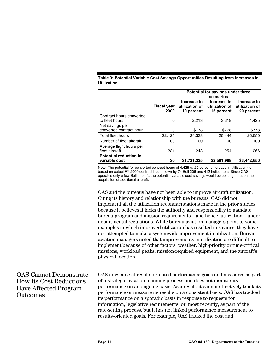| Table 3: Potential Variable Cost Savings Opportunities Resulting from Increases in |  |
|------------------------------------------------------------------------------------|--|
| <b>Utilization</b>                                                                 |  |

|                                                | Potential for savings under three<br>scenarios |                                             |                                             |                                             |
|------------------------------------------------|------------------------------------------------|---------------------------------------------|---------------------------------------------|---------------------------------------------|
|                                                | <b>Fiscal year</b><br>2000                     | Increase in<br>utilization of<br>10 percent | Increase in<br>utilization of<br>15 percent | Increase in<br>utilization of<br>20 percent |
| Contract hours converted<br>to fleet hours     | 0                                              | 2,213                                       | 3.319                                       | 4,425                                       |
| Net savings per<br>converted contract hour     | 0                                              | \$778                                       | \$778                                       | \$778                                       |
| Total fleet hours                              | 22,125                                         | 24.338                                      | 25.444                                      | 26,550                                      |
| Number of fleet aircraft                       | 100                                            | 100                                         | 100                                         | 100                                         |
| Average flight hours per<br>fleet aircraft     | 221                                            | 243                                         | 254                                         | 266                                         |
| <b>Potential reduction in</b><br>variable cost | \$0                                            | \$1,721,325                                 | \$2,581,988                                 | \$3,442,650                                 |

Note: The potential for converted contract hours of 4,425 (a 20-percent increase in utilization) is based on actual FY 2000 contract hours flown by 74 Bell 206 and 412 helicopters. Since OAS operates only a few Bell aircraft, the potential variable cost savings would be contingent upon the acquisition of additional aircraft.

OAS and the bureaus have not been able to improve aircraft utilization. Citing its history and relationship with the bureaus, OAS did not implement all the utilization recommendations made in the prior studies because it believes it lacks the authority and responsibility to mandate bureau program and mission requirements—and hence, utilization—under departmental regulations. While bureau aviation managers point to some examples in which improved utilization has resulted in savings, they have not attempted to make a systemwide improvement in utilization. Bureau aviation managers noted that improvements in utilization are difficult to implement because of other factors: weather, high-priority or time-critical missions, workload peaks, mission-required equipment, and the aircraft's physical location.

| <b>OAS Cannot Demonstrate</b>  | OAS does not set results-oriented performance goals and measures as part      |
|--------------------------------|-------------------------------------------------------------------------------|
| <b>How Its Cost Reductions</b> | of a strategic aviation planning process and does not monitor its             |
| <b>Have Affected Program</b>   | performance on an ongoing basis. As a result, it cannot effectively track its |
| <b>Outcomes</b>                | performance or measure its results on a consistent basis. OAS has tracked     |
|                                | its performance on a sporadic basis in response to requests for               |
|                                | information, legislative requirements, or, most recently, as part of the      |
|                                | rate-setting process, but it has not linked performance measurement to        |
|                                | results-oriented goals. For example, OAS tracked the cost and                 |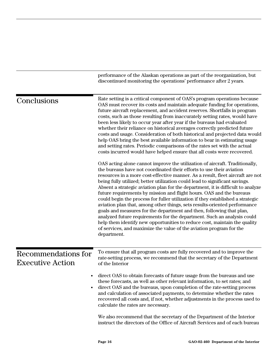|                                                       | performance of the Alaskan operations as part of the reorganization, but<br>discontinued monitoring the operations' performance after 2 years.                                                                                                                                                                                                                                                                                                                                                                                                                                                                                                                                                                                                                                                                                                                                                                                                                       |
|-------------------------------------------------------|----------------------------------------------------------------------------------------------------------------------------------------------------------------------------------------------------------------------------------------------------------------------------------------------------------------------------------------------------------------------------------------------------------------------------------------------------------------------------------------------------------------------------------------------------------------------------------------------------------------------------------------------------------------------------------------------------------------------------------------------------------------------------------------------------------------------------------------------------------------------------------------------------------------------------------------------------------------------|
| Conclusions                                           | Rate setting is a critical component of OAS's program operations because<br>OAS must recover its costs and maintain adequate funding for operations,<br>future aircraft replacement, and accident reserves. Shortfalls in program<br>costs, such as those resulting from inaccurately setting rates, would have<br>been less likely to occur year after year if the bureaus had evaluated<br>whether their reliance on historical averages correctly predicted future<br>costs and usage. Consideration of both historical and projected data would<br>help OAS bring the best available information to bear in estimating usage<br>and setting rates. Periodic comparisons of the rates set with the actual<br>costs incurred would have helped ensure that all costs were recovered.                                                                                                                                                                               |
|                                                       | OAS acting alone cannot improve the utilization of aircraft. Traditionally,<br>the bureaus have not coordinated their efforts to use their aviation<br>resources in a more cost-effective manner. As a result, fleet aircraft are not<br>being fully utilized; better utilization could lead to significant savings.<br>Absent a strategic aviation plan for the department, it is difficult to analyze<br>future requirements by mission and flight hours. OAS and the bureaus<br>could begin the process for fuller utilization if they established a strategic<br>aviation plan that, among other things, sets results-oriented performance<br>goals and measures for the department and then, following that plan,<br>analyzed future requirements for the department. Such an analysis could<br>help them identify new opportunities to reduce cost, maintain the quality<br>of services, and maximize the value of the aviation program for the<br>department. |
| <b>Recommendations for</b><br><b>Executive Action</b> | To ensure that all program costs are fully recovered and to improve the<br>rate-setting process, we recommend that the secretary of the Department<br>of the Interior                                                                                                                                                                                                                                                                                                                                                                                                                                                                                                                                                                                                                                                                                                                                                                                                |
|                                                       | direct OAS to obtain forecasts of future usage from the bureaus and use<br>these forecasts, as well as other relevant information, to set rates; and<br>direct OAS and the bureaus, upon completion of the rate-setting process<br>and calculation of associated payments, to determine whether the rates<br>recovered all costs and, if not, whether adjustments in the process used to<br>calculate the rates are necessary.                                                                                                                                                                                                                                                                                                                                                                                                                                                                                                                                       |
|                                                       | We also recommend that the secretary of the Department of the Interior<br>instruct the directors of the Office of Aircraft Services and of each bureau                                                                                                                                                                                                                                                                                                                                                                                                                                                                                                                                                                                                                                                                                                                                                                                                               |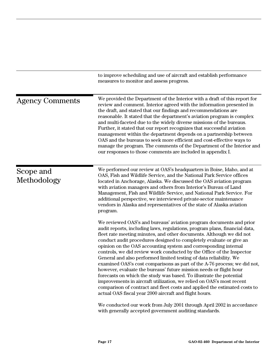|                          | to improve scheduling and use of aircraft and establish performance<br>measures to monitor and assess progress.                                                                                                                                                                                                                                                                                                                                                                                                                                                                                                                                                                                                                                                                                                                                                                                                                                            |
|--------------------------|------------------------------------------------------------------------------------------------------------------------------------------------------------------------------------------------------------------------------------------------------------------------------------------------------------------------------------------------------------------------------------------------------------------------------------------------------------------------------------------------------------------------------------------------------------------------------------------------------------------------------------------------------------------------------------------------------------------------------------------------------------------------------------------------------------------------------------------------------------------------------------------------------------------------------------------------------------|
| <b>Agency Comments</b>   | We provided the Department of the Interior with a draft of this report for<br>review and comment. Interior agreed with the information presented in<br>the draft, and stated that our findings and recommendations are<br>reasonable. It stated that the department's aviation program is complex<br>and multi-faceted due to the widely diverse missions of the bureaus.<br>Further, it stated that our report recognizes that successful aviation<br>management within the department depends on a partnership between<br>OAS and the bureaus to seek more efficient and cost-effective ways to<br>manage the program. The comments of the Department of the Interior and<br>our responses to those comments are included in appendix I.                                                                                                                                                                                                                 |
| Scope and<br>Methodology | We performed our review at OAS's headquarters in Boise, Idaho, and at<br>OAS, Fish and Wildlife Service, and the National Park Service offices<br>located in Anchorage, Alaska. We discussed the OAS aviation program<br>with aviation managers and others from Interior's Bureau of Land<br>Management, Fish and Wildlife Service, and National Park Service. For<br>additional perspective, we interviewed private-sector maintenance<br>vendors in Alaska and representatives of the state of Alaska aviation<br>program.                                                                                                                                                                                                                                                                                                                                                                                                                               |
|                          | We reviewed OAS's and bureaus' aviation program documents and prior<br>audit reports, including laws, regulations, program plans, financial data,<br>fleet rate meeting minutes, and other documents. Although we did not<br>conduct audit procedures designed to completely evaluate or give an<br>opinion on the OAS accounting system and corresponding internal<br>controls, we did review work conducted by the Office of the Inspector<br>General and also performed limited testing of data reliability. We<br>examined OAS's cost comparisons as part of the A-76 process; we did not,<br>however, evaluate the bureaus' future mission needs or flight hour<br>forecasts on which the study was based. To illustrate the potential<br>improvements in aircraft utilization, we relied on OAS's most recent<br>comparison of contract and fleet costs and applied the estimated costs to<br>actual OAS fiscal year 2000 aircraft and flight hours. |
|                          | We conducted our work from July 2001 through April 2002 in accordance<br>with generally accepted government auditing standards.                                                                                                                                                                                                                                                                                                                                                                                                                                                                                                                                                                                                                                                                                                                                                                                                                            |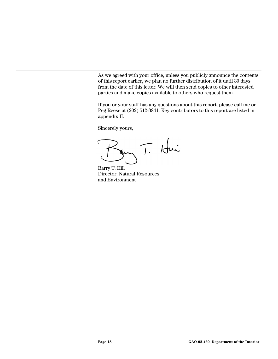As we agreed with your office, unless you publicly announce the contents of this report earlier, we plan no further distribution of it until 30 days from the date of this letter. We will then send copies to other interested parties and make copies available to others who request them.

If you or your staff has any questions about this report, please call me or Peg Reese at (202) 512-3841. Key contributors to this report are listed in appendix II.

Sincerely yours,

T. Hui

Barry T. Hill Director, Natural Resources and Environment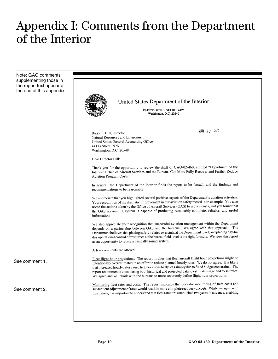## Appendix I: Comments from the Department of the Interior

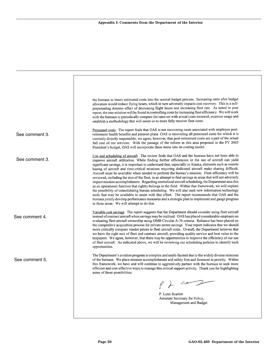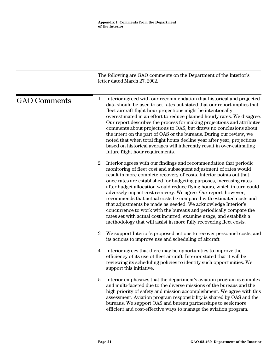|                     | The following are GAO comments on the Department of the Interior's<br>letter dated March 27, 2002.                                                                                                                                                                                                                                                                                                                                                                                                                                                                                                                                                                                                                                                                                               |
|---------------------|--------------------------------------------------------------------------------------------------------------------------------------------------------------------------------------------------------------------------------------------------------------------------------------------------------------------------------------------------------------------------------------------------------------------------------------------------------------------------------------------------------------------------------------------------------------------------------------------------------------------------------------------------------------------------------------------------------------------------------------------------------------------------------------------------|
| <b>GAO Comments</b> | Interior agreed with our recommendation that historical and projected<br>1.<br>data should be used to set rates but stated that our report implies that<br>fleet aircraft flight hour projections might be intentionally<br>overestimated in an effort to reduce planned hourly rates. We disagree.<br>Our report describes the process for making projections and attributes<br>comments about projections to OAS, but draws no conclusions about<br>the intent on the part of OAS or the bureaus. During our review, we<br>noted that when total flight hours decline year after year, projections<br>based on historical averages will inherently result in over-estimating<br>future flight hour requirements.                                                                               |
|                     | 2.<br>Interior agrees with our findings and recommendation that periodic<br>monitoring of fleet cost and subsequent adjustment of rates would<br>result in more complete recovery of costs. Interior points out that,<br>once rates are established for budgeting purposes, increasing rates<br>after budget allocation would reduce flying hours, which in turn could<br>adversely impact cost recovery. We agree. Our report, however,<br>recommends that actual costs be compared with estimated costs and<br>that adjustments be made as needed. We acknowledge Interior's<br>concurrence to work with the bureaus and periodically compare the<br>rates set with actual cost incurred, examine usage, and establish a<br>methodology that will assist in more fully recovering fleet costs. |
|                     | 3.<br>We support Interior's proposed actions to recover personnel costs, and<br>its actions to improve use and scheduling of aircraft.                                                                                                                                                                                                                                                                                                                                                                                                                                                                                                                                                                                                                                                           |
|                     | Interior agrees that there may be opportunities to improve the<br>4.<br>efficiency of its use of fleet aircraft. Interior stated that it will be<br>reviewing its scheduling policies to identify such opportunities. We<br>support this initiative.                                                                                                                                                                                                                                                                                                                                                                                                                                                                                                                                             |
|                     | Interior emphasizes that the department's aviation program is complex<br>5.<br>and multi-faceted due to the diverse missions of the bureaus and the<br>high priority of safety and mission accomplishment. We agree with this<br>assessment. Aviation program responsibility is shared by OAS and the<br>bureaus. We support OAS and bureau partnerships to seek more<br>efficient and cost-effective ways to manage the aviation program.                                                                                                                                                                                                                                                                                                                                                       |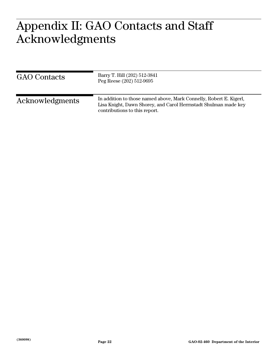### $\bigcap$   $\bigcap$   $\bigcap$   $\bigcap$   $\bigcap$   $\bigcap$   $\bigcap$   $\bigcap$ A L J L J L J Appendix II: GAO Contacts and Staff Acknowledgments

| <b>GAO</b> Contacts | Barry T. Hill (202) 512-3841<br>Peg Reese (202) 512-9695                                                                                                               |
|---------------------|------------------------------------------------------------------------------------------------------------------------------------------------------------------------|
| Acknowledgments     | In addition to those named above, Mark Connelly, Robert E. Kigerl,<br>Lisa Knight, Dawn Shorey, and Carol Herrnstadt Shulman made key<br>contributions to this report. |